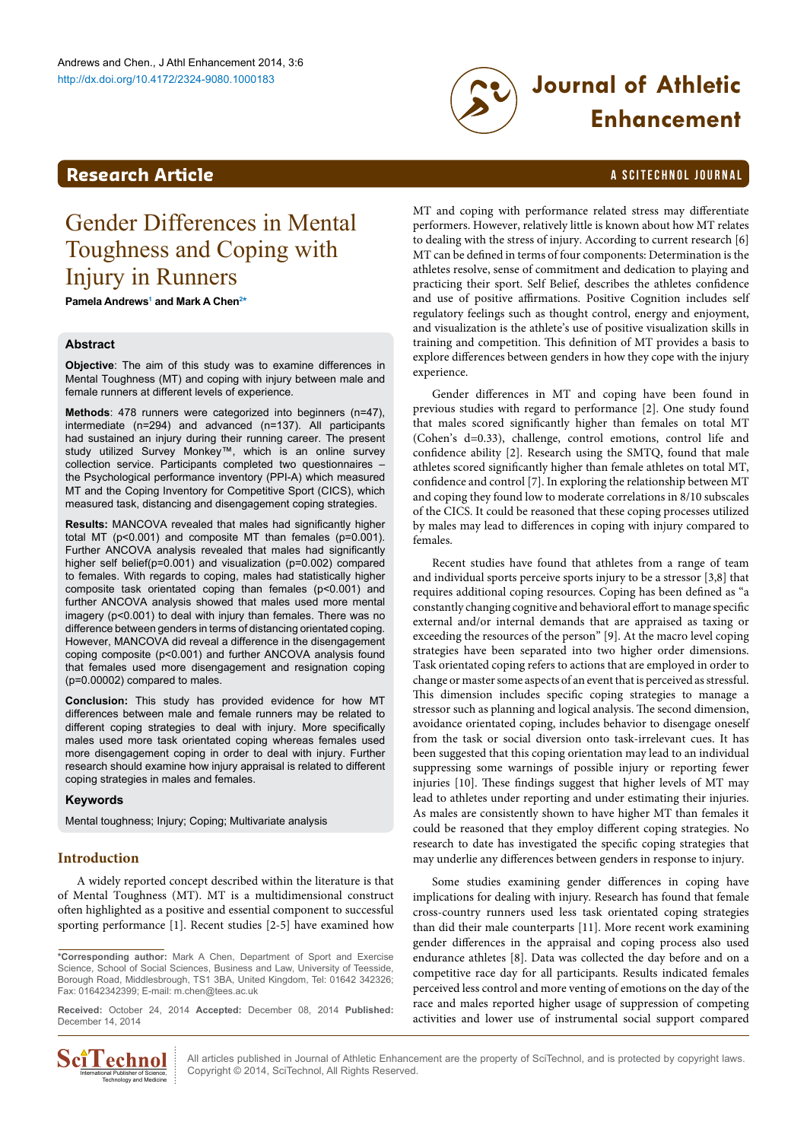# <span id="page-0-1"></span>**Research Article a Scittering Control in the Scittering Article in the Scittering Article in the Scittering Library and Scittering Library and Scittering Library and Scittering Article in the Scittering Article in the S**

# [http://dx.doi.org/10.4172/2324-9080.100018](http://dx.doi.org/10.4172/2324-9080.1000168)3 **Journal of Athletic Enhancement**

# Gender Differences in Mental Toughness and Coping with Injury in Runners

**Pamela Andrews[1](#page-4-0) and Mark A Chen[2](#page-4-1) [\\*](#page-0-0)**

# **Abstract**

**Objective**: The aim of this study was to examine differences in Mental Toughness (MT) and coping with injury between male and female runners at different levels of experience.

**Methods**: 478 runners were categorized into beginners (n=47), intermediate (n=294) and advanced (n=137). All participants had sustained an injury during their running career. The present study utilized Survey Monkey™, which is an online survey collection service. Participants completed two questionnaires – the Psychological performance inventory (PPI-A) which measured MT and the Coping Inventory for Competitive Sport (CICS), which measured task, distancing and disengagement coping strategies.

**Results:** MANCOVA revealed that males had significantly higher total MT ( $p$ <0.001) and composite MT than females ( $p$ =0.001). Further ANCOVA analysis revealed that males had significantly higher self belief(p=0.001) and visualization (p=0.002) compared to females. With regards to coping, males had statistically higher composite task orientated coping than females (p<0.001) and further ANCOVA analysis showed that males used more mental imagery (p<0.001) to deal with injury than females. There was no difference between genders in terms of distancing orientated coping. However, MANCOVA did reveal a difference in the disengagement coping composite (p<0.001) and further ANCOVA analysis found that females used more disengagement and resignation coping (p=0.00002) compared to males.

**Conclusion:** This study has provided evidence for how MT differences between male and female runners may be related to different coping strategies to deal with injury. More specifically males used more task orientated coping whereas females used more disengagement coping in order to deal with injury. Further research should examine how injury appraisal is related to different coping strategies in males and females.

### **Keywords**

Mental toughness; Injury; Coping; Multivariate analysis

# **Introduction**

A widely reported concept described within the literature is that of Mental Toughness (MT). MT is a multidimensional construct often highlighted as a positive and essential component to successful sporting performance [1]. Recent studies [2-5] have examined how

<span id="page-0-0"></span>**\*Corresponding author:** Mark A Chen, Department of Sport and Exercise Science, School of Social Sciences, Business and Law, University of Teesside, Borough Road, Middlesbrough, TS1 3BA, United Kingdom, Tel: 01642 342326; Fax: 01642342399; E-mail: [m.chen@tees.ac.uk](mailto:m.chen@tees.ac.uk)

**Received:** October 24, 2014 **Accepted:** December 08, 2014 **Published:** December 14, 2014



All articles published in Journal of Athletic Enhancement are the property of SciTechnol, and is protected by copyright laws. Copyright © 2014, SciTechnol, All Rights Reserved.

MT and coping with performance related stress may differentiate performers. However, relatively little is known about how MT relates to dealing with the stress of injury. According to current research [6] MT can be defined in terms of four components: Determination is the athletes resolve, sense of commitment and dedication to playing and practicing their sport. Self Belief, describes the athletes confidence and use of positive affirmations. Positive Cognition includes self regulatory feelings such as thought control, energy and enjoyment, and visualization is the athlete's use of positive visualization skills in training and competition. This definition of MT provides a basis to explore differences between genders in how they cope with the injury experience.

Gender differences in MT and coping have been found in previous studies with regard to performance [2]. One study found that males scored significantly higher than females on total MT (Cohen's d=0.33), challenge, control emotions, control life and confidence ability [2]. Research using the SMTQ, found that male athletes scored significantly higher than female athletes on total MT, confidence and control [7]. In exploring the relationship between MT and coping they found low to moderate correlations in 8/10 subscales of the CICS. It could be reasoned that these coping processes utilized by males may lead to differences in coping with injury compared to females.

Recent studies have found that athletes from a range of team and individual sports perceive sports injury to be a stressor [3,8] that requires additional coping resources. Coping has been defined as "a constantly changing cognitive and behavioral effort to manage specific external and/or internal demands that are appraised as taxing or exceeding the resources of the person" [9]. At the macro level coping strategies have been separated into two higher order dimensions. Task orientated coping refers to actions that are employed in order to change or master some aspects of an event that is perceived as stressful. This dimension includes specific coping strategies to manage a stressor such as planning and logical analysis. The second dimension, avoidance orientated coping, includes behavior to disengage oneself from the task or social diversion onto task-irrelevant cues. It has been suggested that this coping orientation may lead to an individual suppressing some warnings of possible injury or reporting fewer injuries [10]. These findings suggest that higher levels of MT may lead to athletes under reporting and under estimating their injuries. As males are consistently shown to have higher MT than females it could be reasoned that they employ different coping strategies. No research to date has investigated the specific coping strategies that may underlie any differences between genders in response to injury.

Some studies examining gender differences in coping have implications for dealing with injury. Research has found that female cross-country runners used less task orientated coping strategies than did their male counterparts [11]. More recent work examining gender differences in the appraisal and coping process also used endurance athletes [8]. Data was collected the day before and on a competitive race day for all participants. Results indicated females perceived less control and more venting of emotions on the day of the race and males reported higher usage of suppression of competing activities and lower use of instrumental social support compared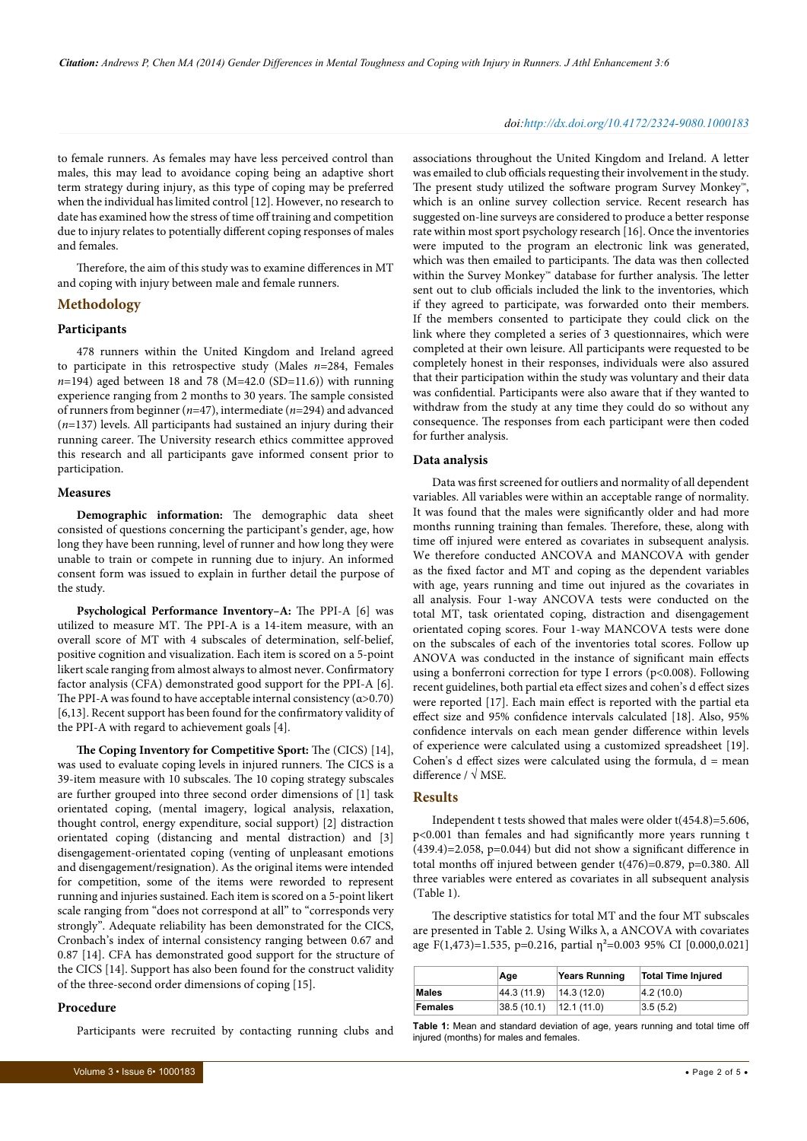#### *doi:http://dx.doi.org/10.4172/2324-9080.1000183*

to female runners. As females may have less perceived control than males, this may lead to avoidance coping being an adaptive short term strategy during injury, as this type of coping may be preferred when the individual has limited control [12]. However, no research to date has examined how the stress of time off training and competition due to injury relates to potentially different coping responses of males and females.

Therefore, the aim of this study was to examine differences in MT and coping with injury between male and female runners.

### **Methodology**

#### **Participants**

478 runners within the United Kingdom and Ireland agreed to participate in this retrospective study (Males *n*=284, Females  $n=194$ ) aged between 18 and 78 (M=42.0 (SD=11.6)) with running experience ranging from 2 months to 30 years. The sample consisted of runners from beginner (*n*=47), intermediate (*n*=294) and advanced (*n*=137) levels. All participants had sustained an injury during their running career. The University research ethics committee approved this research and all participants gave informed consent prior to participation.

#### **Measures**

**Demographic information:** The demographic data sheet consisted of questions concerning the participant's gender, age, how long they have been running, level of runner and how long they were unable to train or compete in running due to injury. An informed consent form was issued to explain in further detail the purpose of the study.

**Psychological Performance Inventory–A:** The PPI-A [6] was utilized to measure MT. The PPI-A is a 14-item measure, with an overall score of MT with 4 subscales of determination, self-belief, positive cognition and visualization. Each item is scored on a 5-point likert scale ranging from almost always to almost never. Confirmatory factor analysis (CFA) demonstrated good support for the PPI-A [6]. The PPI-A was found to have acceptable internal consistency  $(\alpha > 0.70)$ [6,13]. Recent support has been found for the confirmatory validity of the PPI-A with regard to achievement goals [4].

**The Coping Inventory for Competitive Sport:** The (CICS) [14], was used to evaluate coping levels in injured runners. The CICS is a 39-item measure with 10 subscales. The 10 coping strategy subscales are further grouped into three second order dimensions of [1] task orientated coping, (mental imagery, logical analysis, relaxation, thought control, energy expenditure, social support) [2] distraction orientated coping (distancing and mental distraction) and [3] disengagement-orientated coping (venting of unpleasant emotions and disengagement/resignation). As the original items were intended for competition, some of the items were reworded to represent running and injuries sustained. Each item is scored on a 5-point likert scale ranging from "does not correspond at all" to "corresponds very strongly". Adequate reliability has been demonstrated for the CICS, Cronbach's index of internal consistency ranging between 0.67 and 0.87 [14]. CFA has demonstrated good support for the structure of the CICS [14]. Support has also been found for the construct validity of the three-second order dimensions of coping [15].

#### **Procedure**

Participants were recruited by contacting running clubs and

associations throughout the United Kingdom and Ireland. A letter was emailed to club officials requesting their involvement in the study. The present study utilized the software program Survey Monkey™, which is an online survey collection service. Recent research has suggested on-line surveys are considered to produce a better response rate within most sport psychology research [16]. Once the inventories were imputed to the program an electronic link was generated, which was then emailed to participants. The data was then collected within the Survey Monkey™ database for further analysis. The letter sent out to club officials included the link to the inventories, which if they agreed to participate, was forwarded onto their members. If the members consented to participate they could click on the link where they completed a series of 3 questionnaires, which were completed at their own leisure. All participants were requested to be completely honest in their responses, individuals were also assured that their participation within the study was voluntary and their data was confidential. Participants were also aware that if they wanted to withdraw from the study at any time they could do so without any consequence. The responses from each participant were then coded for further analysis.

#### **Data analysis**

Data was first screened for outliers and normality of all dependent variables. All variables were within an acceptable range of normality. It was found that the males were significantly older and had more months running training than females. Therefore, these, along with time off injured were entered as covariates in subsequent analysis. We therefore conducted ANCOVA and MANCOVA with gender as the fixed factor and MT and coping as the dependent variables with age, years running and time out injured as the covariates in all analysis. Four 1-way ANCOVA tests were conducted on the total MT, task orientated coping, distraction and disengagement orientated coping scores. Four 1-way MANCOVA tests were done on the subscales of each of the inventories total scores. Follow up ANOVA was conducted in the instance of significant main effects using a bonferroni correction for type I errors (p<0.008). Following recent guidelines, both partial eta effect sizes and cohen's d effect sizes were reported [17]. Each main effect is reported with the partial eta effect size and 95% confidence intervals calculated [18]. Also, 95% confidence intervals on each mean gender difference within levels of experience were calculated using a customized spreadsheet [19]. Cohen's  $d$  effect sizes were calculated using the formula,  $d = \text{mean}$ difference / √ MSE.

## **Results**

Independent t tests showed that males were older t(454.8)=5.606, p<0.001 than females and had significantly more years running t (439.4)=2.058, p=0.044) but did not show a significant difference in total months off injured between gender t(476)=0.879, p=0.380. All three variables were entered as covariates in all subsequent analysis (Table 1).

The descriptive statistics for total MT and the four MT subscales are presented in Table 2. Using Wilks  $\lambda$ , a ANCOVA with covariates age F(1,473)=1.535, p=0.216, partial  $\eta^2$ =0.003 95% CI [0.000,0.021]

|         | Age         | <b>Years Running</b> | <b>Total Time Injured</b> |
|---------|-------------|----------------------|---------------------------|
| Males   | 44.3 (11.9) | 14.3(12.0)           | 4.2(10.0)                 |
| Females | 38.5(10.1)  | 12.1(11.0)           | 3.5(5.2)                  |

**Table 1:** Mean and standard deviation of age, years running and total time off injured (months) for males and females.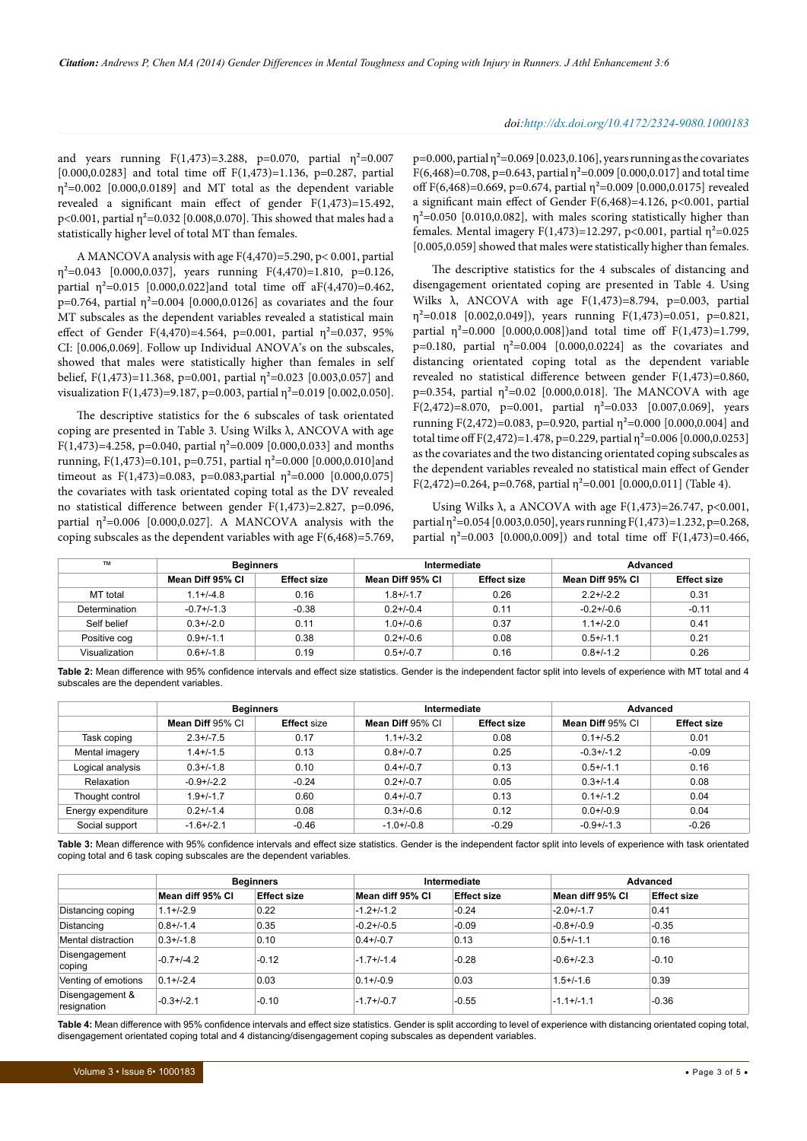#### *doi:http://dx.doi.org/10.4172/2324-9080.1000183*

and years running  $F(1,473)=3.288$ , p=0.070, partial  $\eta^2=0.007$ [0.000,0.0283] and total time off F(1,473)=1.136, p=0.287, partial  $\eta^2$ =0.002 [0.000,0.0189] and MT total as the dependent variable revealed a significant main effect of gender F(1,473)=15.492, p<0.001, partial  $\eta^2$ =0.032 [0.008,0.070]. This showed that males had a statistically higher level of total MT than females.

A MANCOVA analysis with age F(4,470)=5.290, p< 0.001, partial  $\eta^2$ =0.043 [0.000,0.037], years running F(4,470)=1.810, p=0.126, partial  $\eta^2 = 0.015$  [0.000,0.022]and total time off aF(4,470)=0.462, p=0.764, partial  $η^2$ =0.004 [0.000,0.0126] as covariates and the four MT subscales as the dependent variables revealed a statistical main effect of Gender F(4,470)=4.564, p=0.001, partial  $\eta^2$ =0.037, 95% CI: [0.006,0.069]. Follow up Individual ANOVA's on the subscales, showed that males were statistically higher than females in self belief, F(1,473)=11.368, p=0.001, partial  $\eta^2$ =0.023 [0.003,0.057] and visualization F(1,473)=9.187, p=0.003, partial  $\eta^2$ =0.019 [0.002,0.050].

The descriptive statistics for the 6 subscales of task orientated coping are presented in Table 3. Using Wilks  $λ$ , ANCOVA with age F(1,473)=4.258, p=0.040, partial  $\eta^2$ =0.009 [0.000,0.033] and months running, F(1,473)=0.101, p=0.751, partial η²=0.000 [0.000,0.010]and timeout as  $F(1,473)=0.083$ , p=0.083,partial  $\eta^2=0.000$  [0.000,0.075] the covariates with task orientated coping total as the DV revealed no statistical difference between gender F(1,473)=2.827, p=0.096, partial  $\eta^2$ =0.006 [0.000,0.027]. A MANCOVA analysis with the coping subscales as the dependent variables with age F(6,468)=5.769,

 $p=0.000$ , partial  $\eta^2=0.069$  [0.023,0.106], years running as the covariates  $F(6,468)=0.708$ , p=0.643, partial  $\eta^2=0.009$  [0.000,0.017] and total time off  $F(6,468)=0.669$ , p=0.674, partial  $n^2=0.009$  [0.000,0.0175] revealed a significant main effect of Gender F(6,468)=4.126, p<0.001, partial  $\eta^2$ =0.050 [0.010,0.082], with males scoring statistically higher than females. Mental imagery  $F(1,473)=12.297$ , p<0.001, partial  $\eta^2=0.025$ [0.005,0.059] showed that males were statistically higher than females.

The descriptive statistics for the 4 subscales of distancing and disengagement orientated coping are presented in Table 4. Using Wilks  $\lambda$ , ANCOVA with age F(1,473)=8.794, p=0.003, partial  $\eta^2$ =0.018 [0.002,0.049]), years running F(1,473)=0.051, p=0.821, partial  $\eta^2$ =0.000 [0.000,0.008])and total time off F(1,473)=1.799, p=0.180, partial  $η^2$ =0.004 [0.000,0.0224] as the covariates and distancing orientated coping total as the dependent variable revealed no statistical difference between gender F(1,473)=0.860, p=0.354, partial  $\eta^2$ =0.02 [0.000,0.018]. The MANCOVA with age F(2,472)=8.070, p=0.001, partial  $\eta^2$ =0.033 [0.007,0.069], years running F(2,472)=0.083, p=0.920, partial  $\eta^2$ =0.000 [0.000,0.004] and total time off  $F(2,472)=1.478$ , p=0.229, partial  $\eta^2$ =0.006 [0.000,0.0253] as the covariates and the two distancing orientated coping subscales as the dependent variables revealed no statistical main effect of Gender  $F(2,472)=0.264$ , p=0.768, partial  $n^2=0.001$  [0.000,0.011] (Table 4).

Using Wilks  $\lambda$ , a ANCOVA with age F(1,473)=26.747, p<0.001, partial  $\eta^2$ =0.054 [0.003,0.050], years running F(1,473)=1.232, p=0.268, partial  $\eta^2$ =0.003 [0.000,0.009]) and total time off F(1,473)=0.466,

| <b>TM</b>     | <b>Beginners</b> |                    | Intermediate     |                    | Advanced         |                    |
|---------------|------------------|--------------------|------------------|--------------------|------------------|--------------------|
|               | Mean Diff 95% CI | <b>Effect size</b> | Mean Diff 95% Cl | <b>Effect size</b> | Mean Diff 95% Cl | <b>Effect size</b> |
| MT total      | $1.1 + (-4.8)$   | 0.16               | $1.8 + (-1.7)$   | 0.26               | $2.2 + 1 - 2.2$  | 0.31               |
| Determination | $-0.7 + (-1.3)$  | $-0.38$            | $0.2 + (-0.4)$   | 0.11               | $-0.2 + (-0.6)$  | $-0.11$            |
| Self belief   | $0.3 + (-2.0)$   | 0.11               | $1.0 + (-0.6)$   | 0.37               | $1.1 + (-2.0)$   | 0.41               |
| Positive cog  | $0.9 + (-1.1)$   | 0.38               | $0.2 + 0.6$      | 0.08               | $0.5 + (-1.1)$   | 0.21               |
| Visualization | $0.6 + (-1.8)$   | 0.19               | $0.5 + (-0.7)$   | 0.16               | $0.8 + (-1.2)$   | 0.26               |

**Table 2:** Mean difference with 95% confidence intervals and effect size statistics. Gender is the independent factor split into levels of experience with MT total and 4 subscales are the dependent variables.

|                    | <b>Beginners</b> |                    | Intermediate     |                    | Advanced         |                    |
|--------------------|------------------|--------------------|------------------|--------------------|------------------|--------------------|
|                    | Mean Diff 95% Cl | <b>Effect size</b> | Mean Diff 95% CI | <b>Effect size</b> | Mean Diff 95% CI | <b>Effect size</b> |
| Task coping        | $2.3 + / -7.5$   | 0.17               | $1.1 + (-3.2)$   | 0.08               | $0.1 + (-5.2)$   | 0.01               |
| Mental imagery     | $1.4 + (-1.5)$   | 0.13               | $0.8 + / -0.7$   | 0.25               | $-0.3 + (-1.2)$  | $-0.09$            |
| Logical analysis   | $0.3 + (-1.8)$   | 0.10               | $0.4 + (-0.7)$   | 0.13               | $0.5 + (-1.1)$   | 0.16               |
| Relaxation         | $-0.9 + (-2.2)$  | $-0.24$            | $0.2 + 0.7$      | 0.05               | $0.3 + (-1.4)$   | 0.08               |
| Thought control    | $1.9 + / -1.7$   | 0.60               | $0.4 + (-0.7)$   | 0.13               | $0.1 + (-1.2)$   | 0.04               |
| Energy expenditure | $0.2 + (-1.4)$   | 0.08               | $0.3 + (-0.6)$   | 0.12               | $0.0 + / -0.9$   | 0.04               |
| Social support     | $-1.6 + (-2.1)$  | $-0.46$            | $-1.0+/-0.8$     | $-0.29$            | $-0.9 + (-1.3)$  | $-0.26$            |

**Table 3:** Mean difference with 95% confidence intervals and effect size statistics. Gender is the independent factor split into levels of experience with task orientated coping total and 6 task coping subscales are the dependent variables.

|                                | <b>Beginners</b> |                    |                  | Intermediate       |                  | <b>Advanced</b>    |  |
|--------------------------------|------------------|--------------------|------------------|--------------------|------------------|--------------------|--|
|                                | Mean diff 95% Cl | <b>Effect size</b> | Mean diff 95% CI | <b>Effect size</b> | Mean diff 95% Cl | <b>Effect size</b> |  |
| Distancing coping              | $1.1 + (-2.9)$   | 0.22               | $-1.2+/-1.2$     | $-0.24$            | $-2.0+/-1.7$     | 0.41               |  |
| Distancing                     | $0.8 + (-1.4)$   | 0.35               | $-0.2 + (-0.5)$  | $-0.09$            | $-0.8 + (-0.9)$  | $-0.35$            |  |
| Mental distraction             | $0.3 + (-1.8)$   | 0.10               | $0.4 + (-0.7)$   | 0.13               | $0.5 + (-1.1)$   | 0.16               |  |
| Disengagement<br>coping        | $-0.7 + (-4.2)$  | $-0.12$            | $-1.7 + (-1.4)$  | $-0.28$            | $-0.6 + (-2.3)$  | $-0.10$            |  |
| Venting of emotions            | $0.1 + (-2.4)$   | 0.03               | $0.1 + (-0.9)$   | 0.03               | $1.5 + (-1.6)$   | 0.39               |  |
| Disengagement &<br>resignation | $-0.3 + (-2.1)$  | $-0.10$            | $-1.7+/-0.7$     | $-0.55$            | $-1.1+/-1.1$     | $-0.36$            |  |

**Table 4:** Mean difference with 95% confidence intervals and effect size statistics. Gender is split according to level of experience with distancing orientated coping total, disengagement orientated coping total and 4 distancing/disengagement coping subscales as dependent variables.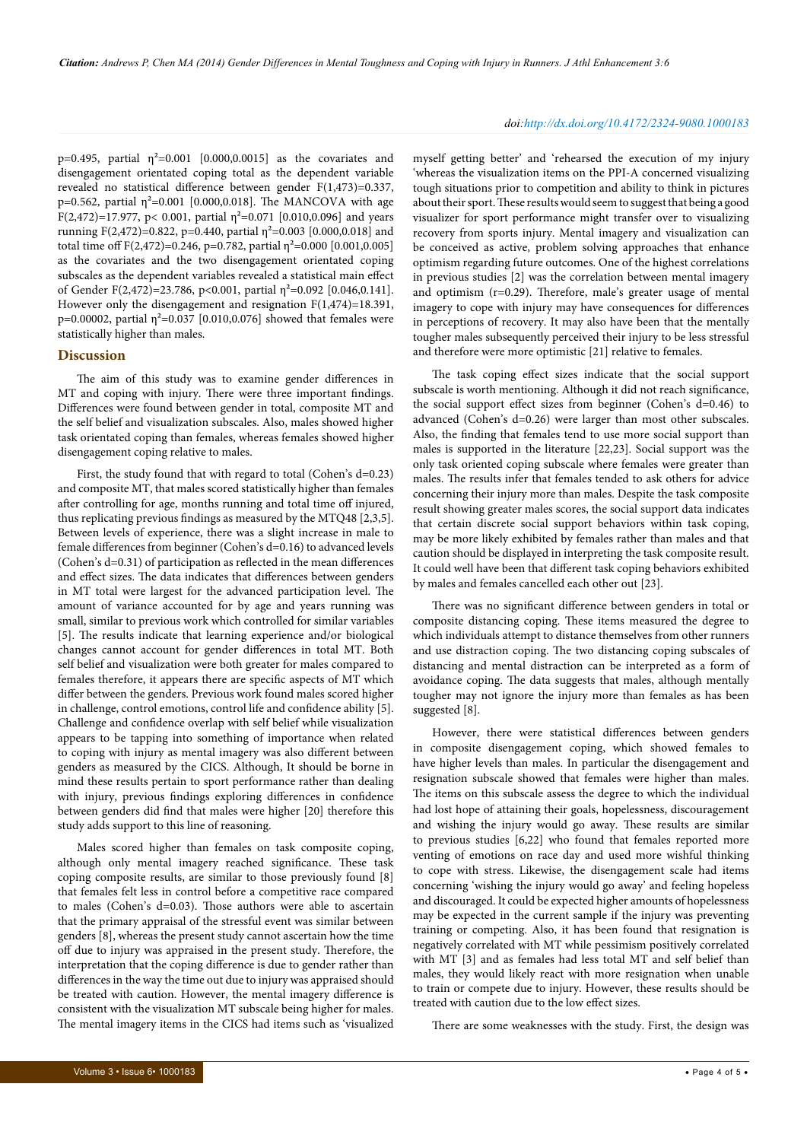p=0.495, partial  $η^2$ =0.001 [0.000,0.0015] as the covariates and disengagement orientated coping total as the dependent variable revealed no statistical difference between gender F(1,473)=0.337, p=0.562, partial  $\eta^2$ =0.001 [0.000,0.018]. The MANCOVA with age F(2,472)=17.977, p< 0.001, partial  $\eta^2$ =0.071 [0.010,0.096] and years running F(2,472)=0.822, p=0.440, partial  $\eta^2$ =0.003 [0.000,0.018] and total time off  $F(2,472)=0.246$ , p=0.782, partial  $\eta^2=0.000$  [0.001,0.005] as the covariates and the two disengagement orientated coping subscales as the dependent variables revealed a statistical main effect of Gender F(2,472)=23.786, p<0.001, partial  $\eta^2$ =0.092 [0.046,0.141]. However only the disengagement and resignation F(1,474)=18.391, p=0.00002, partial  $\eta^2$ =0.037 [0.010,0.076] showed that females were statistically higher than males.

## **Discussion**

The aim of this study was to examine gender differences in MT and coping with injury. There were three important findings. Differences were found between gender in total, composite MT and the self belief and visualization subscales. Also, males showed higher task orientated coping than females, whereas females showed higher disengagement coping relative to males.

First, the study found that with regard to total (Cohen's d=0.23) and composite MT, that males scored statistically higher than females after controlling for age, months running and total time off injured, thus replicating previous findings as measured by the MTQ48 [2,3,5]. Between levels of experience, there was a slight increase in male to female differences from beginner (Cohen's d=0.16) to advanced levels (Cohen's d=0.31) of participation as reflected in the mean differences and effect sizes. The data indicates that differences between genders in MT total were largest for the advanced participation level. The amount of variance accounted for by age and years running was small, similar to previous work which controlled for similar variables [5]. The results indicate that learning experience and/or biological changes cannot account for gender differences in total MT. Both self belief and visualization were both greater for males compared to females therefore, it appears there are specific aspects of MT which differ between the genders. Previous work found males scored higher in challenge, control emotions, control life and confidence ability [5]. Challenge and confidence overlap with self belief while visualization appears to be tapping into something of importance when related to coping with injury as mental imagery was also different between genders as measured by the CICS. Although, It should be borne in mind these results pertain to sport performance rather than dealing with injury, previous findings exploring differences in confidence between genders did find that males were higher [20] therefore this study adds support to this line of reasoning.

Males scored higher than females on task composite coping, although only mental imagery reached significance. These task coping composite results, are similar to those previously found [8] that females felt less in control before a competitive race compared to males (Cohen's d=0.03). Those authors were able to ascertain that the primary appraisal of the stressful event was similar between genders [8], whereas the present study cannot ascertain how the time off due to injury was appraised in the present study. Therefore, the interpretation that the coping difference is due to gender rather than differences in the way the time out due to injury was appraised should be treated with caution. However, the mental imagery difference is consistent with the visualization MT subscale being higher for males. The mental imagery items in the CICS had items such as 'visualized

#### *doi:http://dx.doi.org/10.4172/2324-9080.1000183*

myself getting better' and 'rehearsed the execution of my injury 'whereas the visualization items on the PPI-A concerned visualizing tough situations prior to competition and ability to think in pictures about their sport. These results would seem to suggest that being a good visualizer for sport performance might transfer over to visualizing recovery from sports injury. Mental imagery and visualization can be conceived as active, problem solving approaches that enhance optimism regarding future outcomes. One of the highest correlations in previous studies [2] was the correlation between mental imagery and optimism (r=0.29). Therefore, male's greater usage of mental imagery to cope with injury may have consequences for differences in perceptions of recovery. It may also have been that the mentally tougher males subsequently perceived their injury to be less stressful and therefore were more optimistic [21] relative to females.

The task coping effect sizes indicate that the social support subscale is worth mentioning. Although it did not reach significance, the social support effect sizes from beginner (Cohen's d=0.46) to advanced (Cohen's d=0.26) were larger than most other subscales. Also, the finding that females tend to use more social support than males is supported in the literature [22,23]. Social support was the only task oriented coping subscale where females were greater than males. The results infer that females tended to ask others for advice concerning their injury more than males. Despite the task composite result showing greater males scores, the social support data indicates that certain discrete social support behaviors within task coping, may be more likely exhibited by females rather than males and that caution should be displayed in interpreting the task composite result. It could well have been that different task coping behaviors exhibited by males and females cancelled each other out [23].

There was no significant difference between genders in total or composite distancing coping. These items measured the degree to which individuals attempt to distance themselves from other runners and use distraction coping. The two distancing coping subscales of distancing and mental distraction can be interpreted as a form of avoidance coping. The data suggests that males, although mentally tougher may not ignore the injury more than females as has been suggested [8].

However, there were statistical differences between genders in composite disengagement coping, which showed females to have higher levels than males. In particular the disengagement and resignation subscale showed that females were higher than males. The items on this subscale assess the degree to which the individual had lost hope of attaining their goals, hopelessness, discouragement and wishing the injury would go away. These results are similar to previous studies [6,22] who found that females reported more venting of emotions on race day and used more wishful thinking to cope with stress. Likewise, the disengagement scale had items concerning 'wishing the injury would go away' and feeling hopeless and discouraged. It could be expected higher amounts of hopelessness may be expected in the current sample if the injury was preventing training or competing. Also, it has been found that resignation is negatively correlated with MT while pessimism positively correlated with MT [3] and as females had less total MT and self belief than males, they would likely react with more resignation when unable to train or compete due to injury. However, these results should be treated with caution due to the low effect sizes.

There are some weaknesses with the study. First, the design was